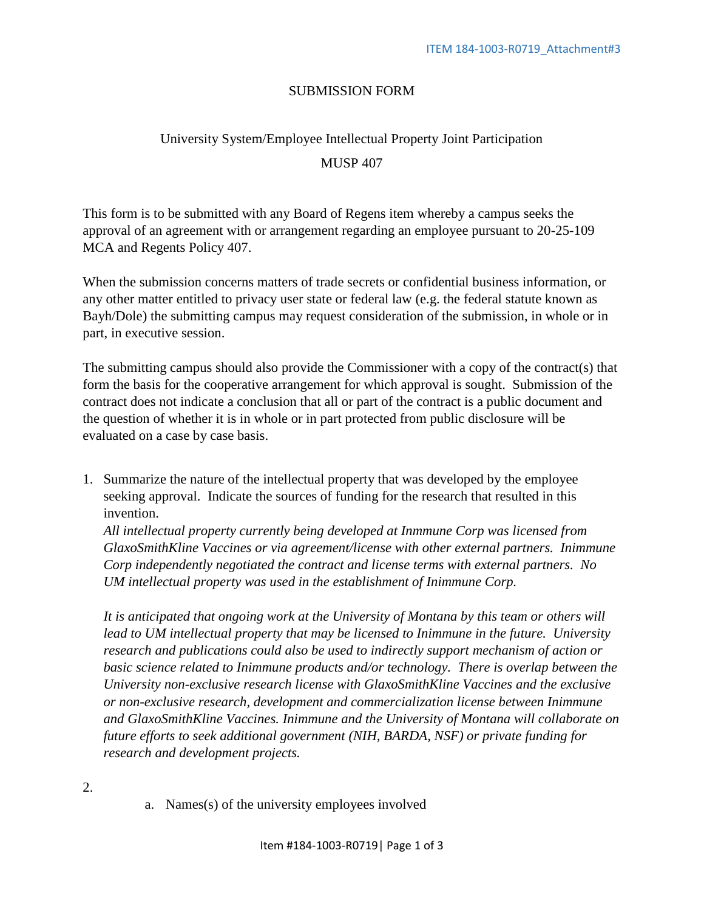## SUBMISSION FORM

## University System/Employee Intellectual Property Joint Participation MUSP 407

This form is to be submitted with any Board of Regens item whereby a campus seeks the approval of an agreement with or arrangement regarding an employee pursuant to 20-25-109 MCA and Regents Policy 407.

When the submission concerns matters of trade secrets or confidential business information, or any other matter entitled to privacy user state or federal law (e.g. the federal statute known as Bayh/Dole) the submitting campus may request consideration of the submission, in whole or in part, in executive session.

The submitting campus should also provide the Commissioner with a copy of the contract(s) that form the basis for the cooperative arrangement for which approval is sought. Submission of the contract does not indicate a conclusion that all or part of the contract is a public document and the question of whether it is in whole or in part protected from public disclosure will be evaluated on a case by case basis.

1. Summarize the nature of the intellectual property that was developed by the employee seeking approval. Indicate the sources of funding for the research that resulted in this invention.

*All intellectual property currently being developed at Inmmune Corp was licensed from GlaxoSmithKline Vaccines or via agreement/license with other external partners. Inimmune Corp independently negotiated the contract and license terms with external partners. No UM intellectual property was used in the establishment of Inimmune Corp.* 

*It is anticipated that ongoing work at the University of Montana by this team or others will*  lead to UM intellectual property that may be licensed to Inimmune in the future. University *research and publications could also be used to indirectly support mechanism of action or basic science related to Inimmune products and/or technology. There is overlap between the University non-exclusive research license with GlaxoSmithKline Vaccines and the exclusive or non-exclusive research, development and commercialization license between Inimmune and GlaxoSmithKline Vaccines. Inimmune and the University of Montana will collaborate on future efforts to seek additional government (NIH, BARDA, NSF) or private funding for research and development projects.*

a. Names(s) of the university employees involved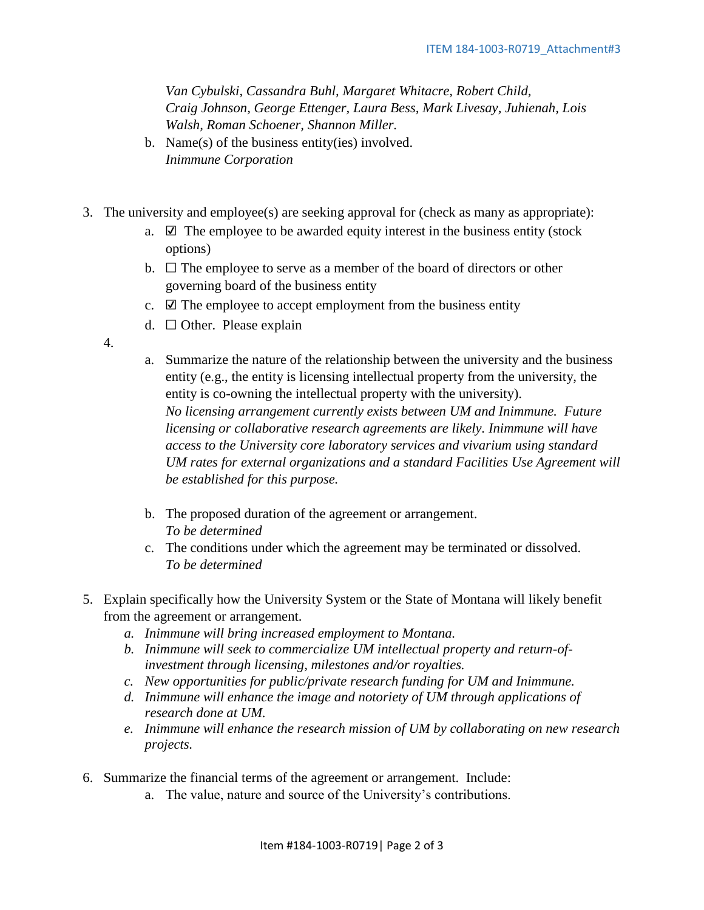*Van Cybulski, Cassandra Buhl, Margaret Whitacre, Robert Child, Craig Johnson, George Ettenger, Laura Bess, Mark Livesay, Juhienah, Lois Walsh, Roman Schoener, Shannon Miller.*

- b. Name(s) of the business entity(ies) involved. *Inimmune Corporation*
- 3. The university and employee(s) are seeking approval for (check as many as appropriate):
	- a.  $\Box$  The employee to be awarded equity interest in the business entity (stock options)
	- b.  $\Box$  The employee to serve as a member of the board of directors or other governing board of the business entity
	- c.  $\boxtimes$  The employee to accept employment from the business entity
	- d.  $\Box$  Other. Please explain
	- 4.
- a. Summarize the nature of the relationship between the university and the business entity (e.g., the entity is licensing intellectual property from the university, the entity is co-owning the intellectual property with the university). *No licensing arrangement currently exists between UM and Inimmune. Future licensing or collaborative research agreements are likely. Inimmune will have access to the University core laboratory services and vivarium using standard UM rates for external organizations and a standard Facilities Use Agreement will be established for this purpose.*
- b. The proposed duration of the agreement or arrangement. *To be determined*
- c. The conditions under which the agreement may be terminated or dissolved. *To be determined*
- 5. Explain specifically how the University System or the State of Montana will likely benefit from the agreement or arrangement.
	- *a. Inimmune will bring increased employment to Montana.*
	- *b. Inimmune will seek to commercialize UM intellectual property and return-ofinvestment through licensing, milestones and/or royalties.*
	- *c. New opportunities for public/private research funding for UM and Inimmune.*
	- *d. Inimmune will enhance the image and notoriety of UM through applications of research done at UM.*
	- *e. Inimmune will enhance the research mission of UM by collaborating on new research projects.*
- 6. Summarize the financial terms of the agreement or arrangement. Include:
	- a. The value, nature and source of the University's contributions.